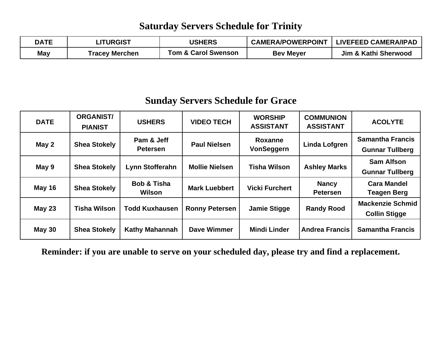#### **Saturday Servers Schedule for Trinity**

| <b>DATE</b> | <b>LITURGIST</b> | <b>USHERS</b>                  | <b>CAMERA/POWERPOINT</b> | <b>LIVEFEED CAMERA/IPAD</b> |
|-------------|------------------|--------------------------------|--------------------------|-----------------------------|
| May         | Tracey Merchen   | <b>Tom &amp; Carol Swenson</b> | <b>Bev Meyer</b>         | Jim & Kathi Sherwood        |

### **Sunday Servers Schedule for Grace**

| <b>DATE</b>   | <b>ORGANIST/</b><br><b>PIANIST</b> | <b>USHERS</b>                    | <b>VIDEO TECH</b>     | <b>WORSHIP</b><br><b>ASSISTANT</b> | <b>COMMUNION</b><br><b>ASSISTANT</b> | <b>ACOLYTE</b>                                    |
|---------------|------------------------------------|----------------------------------|-----------------------|------------------------------------|--------------------------------------|---------------------------------------------------|
| May 2         | <b>Shea Stokely</b>                | Pam & Jeff<br><b>Petersen</b>    | <b>Paul Nielsen</b>   | Roxanne<br>VonSeggern              | Linda Lofgren                        | <b>Samantha Francis</b><br><b>Gunnar Tullberg</b> |
| May 9         | <b>Shea Stokely</b>                | Lynn Stofferahn                  | <b>Mollie Nielsen</b> | <b>Tisha Wilson</b>                | <b>Ashley Marks</b>                  | <b>Sam Alfson</b><br><b>Gunnar Tullberg</b>       |
| <b>May 16</b> | <b>Shea Stokely</b>                | <b>Bob &amp; Tisha</b><br>Wilson | <b>Mark Luebbert</b>  | <b>Vicki Furchert</b>              | <b>Nancy</b><br><b>Petersen</b>      | <b>Cara Mandel</b><br><b>Teagen Berg</b>          |
| <b>May 23</b> | <b>Tisha Wilson</b>                | <b>Todd Kuxhausen</b>            | <b>Ronny Petersen</b> | <b>Jamie Stigge</b>                | <b>Randy Rood</b>                    | <b>Mackenzie Schmid</b><br><b>Collin Stigge</b>   |
| <b>May 30</b> | <b>Shea Stokely</b>                | <b>Kathy Mahannah</b>            | Dave Wimmer           | <b>Mindi Linder</b>                | <b>Andrea Francis</b>                | <b>Samantha Francis</b>                           |

**Reminder: if you are unable to serve on your scheduled day, please try and find a replacement.**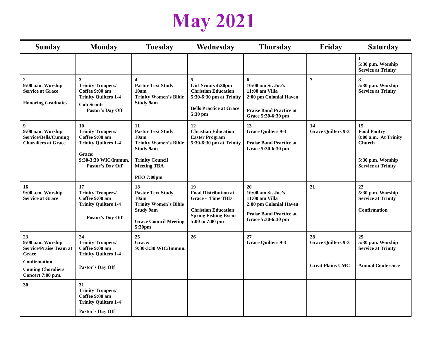# **May 2021**

| <b>Sunday</b>                                                                                                                             | <b>Monday</b>                                                                                                                         | <b>Tuesday</b>                                                                                                                                                  | Wednesday                                                                                                                                    | <b>Thursday</b>                                                                                                              | Friday                                                     | <b>Saturday</b>                                                                                                     |
|-------------------------------------------------------------------------------------------------------------------------------------------|---------------------------------------------------------------------------------------------------------------------------------------|-----------------------------------------------------------------------------------------------------------------------------------------------------------------|----------------------------------------------------------------------------------------------------------------------------------------------|------------------------------------------------------------------------------------------------------------------------------|------------------------------------------------------------|---------------------------------------------------------------------------------------------------------------------|
|                                                                                                                                           |                                                                                                                                       |                                                                                                                                                                 |                                                                                                                                              |                                                                                                                              |                                                            | $\mathbf{1}$<br>5:30 p.m. Worship<br><b>Service at Trinity</b>                                                      |
| $\mathbf{2}$<br>9:00 a.m. Worship<br><b>Service at Grace</b><br><b>Honoring Graduates</b>                                                 | $\mathbf{3}$<br><b>Trinity Troopers/</b><br>Coffee 9:00 am<br><b>Trinity Quilters 1-4</b><br><b>Cub Scouts</b><br>Pastor's Day Off    | $\overline{\mathbf{4}}$<br><b>Pastor Text Study</b><br>10am<br><b>Trinity Women's Bible</b><br><b>Study 9am</b>                                                 | 5<br><b>Girl Scouts 4:30pm</b><br><b>Christian Education</b><br>5:30-6:30 pm at Trinity<br><b>Bells Practice at Grace</b><br>5:30 pm         | 6<br>10:00 am St. Joe's<br>11:00 am Villa<br>2:00 pm Colonial Haven<br><b>Praise Band Practice at</b><br>Grace 5:30-6:30 pm  | $\overline{7}$                                             | 8<br>5:30 p.m. Worship<br><b>Service at Trinity</b>                                                                 |
| 9<br>9:00 a.m. Worship<br><b>Service/Bells/Cuming</b><br><b>Choraliers at Grace</b>                                                       | 10<br><b>Trinity Troopers/</b><br>Coffee 9:00 am<br><b>Trinity Quilters 1-4</b><br>Grace:<br>9:30-3:30 WIC/Immun.<br>Pastor's Day Off | 11<br><b>Pastor Text Study</b><br>10am<br><b>Trinity Women's Bible</b><br><b>Study 9am</b><br><b>Trinity Council</b><br><b>Meeting TBA</b><br><b>PEO 7:00pm</b> | 12<br><b>Christian Education</b><br><b>Easter Program</b><br>5:30-6:30 pm at Trinity                                                         | 13<br><b>Grace Quilters 9-3</b><br><b>Praise Band Practice at</b><br>Grace 5:30-6:30 pm                                      | 14<br><b>Grace Quilters 9-3</b>                            | 15<br><b>Food Pantry</b><br>8:00 a.m. At Trinity<br><b>Church</b><br>5:30 p.m. Worship<br><b>Service at Trinity</b> |
| 16<br>9:00 a.m. Worship<br><b>Service at Grace</b>                                                                                        | 17<br><b>Trinity Troopers/</b><br>Coffee 9:00 am<br><b>Trinity Quilters 1-4</b><br>Pastor's Day Off                                   | 18<br><b>Pastor Text Study</b><br>10am<br><b>Trinity Women's Bible</b><br><b>Study 9am</b><br><b>Grace Council Meeting</b><br>5:30pm                            | 19<br><b>Food Distribution at</b><br><b>Grace - Time TBD</b><br><b>Christian Education</b><br><b>Spring Fishing Event</b><br>5:00 to 7:00 pm | 20<br>10:00 am St. Joe's<br>11:00 am Villa<br>2:00 pm Colonial Haven<br><b>Praise Band Practice at</b><br>Grace 5:30-6:30 pm | 21                                                         | 22<br>5:30 p.m. Worship<br><b>Service at Trinity</b><br><b>Confirmation</b>                                         |
| 23<br>9:00 a.m. Worship<br><b>Service/Praise Team at</b><br>Grace<br><b>Confirmation</b><br><b>Cuming Choraliers</b><br>Concert 7:00 p.m. | 24<br><b>Trinity Troopers/</b><br>Coffee 9:00 am<br><b>Trinity Quilters 1-4</b><br>Pastor's Day Off                                   | 25<br>Grace:<br>9:30-3:30 WIC/Immun.                                                                                                                            | 26                                                                                                                                           | 27<br><b>Grace Quilters 9-3</b>                                                                                              | 28<br><b>Grace Quilters 9-3</b><br><b>Great Plains UMC</b> | 29<br>5:30 p.m. Worship<br><b>Service at Trinity</b><br><b>Annual Conference</b>                                    |
| 30                                                                                                                                        | 31<br><b>Trinity Troopers/</b><br>Coffee 9:00 am<br><b>Trinity Quilters 1-4</b><br>Pastor's Day Off                                   |                                                                                                                                                                 |                                                                                                                                              |                                                                                                                              |                                                            |                                                                                                                     |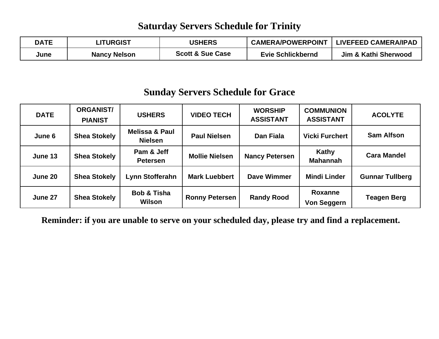#### **Saturday Servers Schedule for Trinity**

| <b>DATE</b> | LITURGIST           | <b>USHERS</b>               | <b>CAMERA/POWERPOINT</b> | LIVEFEED CAMERA/IPAD |
|-------------|---------------------|-----------------------------|--------------------------|----------------------|
| June        | <b>Nancy Nelson</b> | <b>Scott &amp; Sue Case</b> | <b>Evie Schlickbernd</b> | Jim & Kathi Sherwood |

#### **Sunday Servers Schedule for Grace**

| <b>DATE</b> | <b>ORGANIST/</b><br><b>PIANIST</b> | <b>USHERS</b>                               | <b>VIDEO TECH</b>     | <b>WORSHIP</b><br><b>ASSISTANT</b> | <b>COMMUNION</b><br><b>ASSISTANT</b> | <b>ACOLYTE</b>         |
|-------------|------------------------------------|---------------------------------------------|-----------------------|------------------------------------|--------------------------------------|------------------------|
| June 6      | <b>Shea Stokely</b>                | <b>Melissa &amp; Paul</b><br><b>Nielsen</b> | <b>Paul Nielsen</b>   | Dan Fiala                          | <b>Vicki Furchert</b>                | <b>Sam Alfson</b>      |
| June 13     | <b>Shea Stokely</b>                | Pam & Jeff<br><b>Petersen</b>               | <b>Mollie Nielsen</b> | <b>Nancy Petersen</b>              | Kathy<br><b>Mahannah</b>             | <b>Cara Mandel</b>     |
| June 20     | <b>Shea Stokely</b>                | Lynn Stofferahn                             | <b>Mark Luebbert</b>  | <b>Dave Wimmer</b>                 | <b>Mindi Linder</b>                  | <b>Gunnar Tullberg</b> |
| June 27     | <b>Shea Stokely</b>                | <b>Bob &amp; Tisha</b><br>Wilson            | <b>Ronny Petersen</b> | <b>Randy Rood</b>                  | <b>Roxanne</b><br><b>Von Seggern</b> | <b>Teagen Berg</b>     |

**Reminder: if you are unable to serve on your scheduled day, please try and find a replacement.**